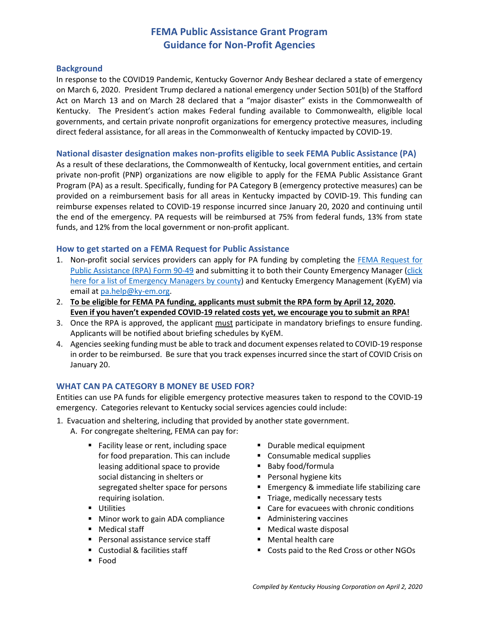# **FEMA Public Assistance Grant Program Guidance for Non-Profit Agencies**

#### **Background**

In response to the COVID19 Pandemic, Kentucky Governor Andy Beshear declared a state of emergency on March 6, 2020. President Trump declared a national emergency under Section 501(b) of the Stafford Act on March 13 and on March 28 declared that a "major disaster" exists in the Commonwealth of Kentucky. The President's action makes Federal funding available to Commonwealth, eligible local governments, and certain private nonprofit organizations for emergency protective measures, including direct federal assistance, for all areas in the Commonwealth of Kentucky impacted by COVID-19.

#### **National disaster designation makes non-profits eligible to seek FEMA Public Assistance (PA)**

As a result of these declarations, the Commonwealth of Kentucky, local government entities, and certain private non-profit (PNP) organizations are now eligible to apply for the FEMA Public Assistance Grant Program (PA) as a result. Specifically, funding for PA Category B (emergency protective measures) can be provided on a reimbursement basis for all areas in Kentucky impacted by COVID-19. This funding can reimburse expenses related to COVID-19 response incurred since January 20, 2020 and continuing until the end of the emergency. PA requests will be reimbursed at 75% from federal funds, 13% from state funds, and 12% from the local government or non-profit applicant.

### **How to get started on a FEMA Request for Public Assistance**

- 1. Non-profit social services providers can apply for PA funding by completing the [FEMA Request for](https://kyem.ky.gov/recovery/Documents/RPA%20-%20Form.pdf)  [Public Assistance \(RPA\) Form 90-49](https://kyem.ky.gov/recovery/Documents/RPA%20-%20Form.pdf) and submitting it to both their County Emergency Manager (click [here for a list of Emergency Managers](https://kyem.ky.gov/Documents/CountyEMDirectors.pdf) by county) and Kentucky Emergency Management (KyEM) via email at [pa.help@ky-em.org.](mailto:pa.help@ky-em.org)
- 2. **To be eligible for FEMA PA funding, applicants must submit the RPA form by April 12, 2020. Even if you haven't expended COVID-19 related costs yet, we encourage you to submit an RPA!**
- 3. Once the RPA is approved, the applicant must participate in mandatory briefings to ensure funding. Applicants will be notified about briefing schedules by KyEM.
- 4. Agencies seeking funding must be able to track and document expenses related to COVID-19 response in order to be reimbursed. Be sure that you track expenses incurred since the start of COVID Crisis on January 20.

### **WHAT CAN PA CATEGORY B MONEY BE USED FOR?**

Entities can use PA funds for eligible emergency protective measures taken to respond to the COVID-19 emergency. Categories relevant to Kentucky social services agencies could include:

- 1. Evacuation and sheltering, including that provided by another state government.
	- A. For congregate sheltering, FEMA can pay for:
		- Facility lease or rent, including space for food preparation. This can include leasing additional space to provide social distancing in shelters or segregated shelter space for persons requiring isolation.
		- **Utilities**
		- **Minor work to gain ADA compliance**
		- Medical staff
		- **Personal assistance service staff**
		- Custodial & facilities staff
		- Food
- Durable medical equipment
- **Consumable medical supplies**
- Baby food/formula
- **Personal hygiene kits**
- **Emergency & immediate life stabilizing care**
- Triage, medically necessary tests
- Care for evacuees with chronic conditions
- Administering vaccines
- Medical waste disposal
- Mental health care
- Costs paid to the Red Cross or other NGOs